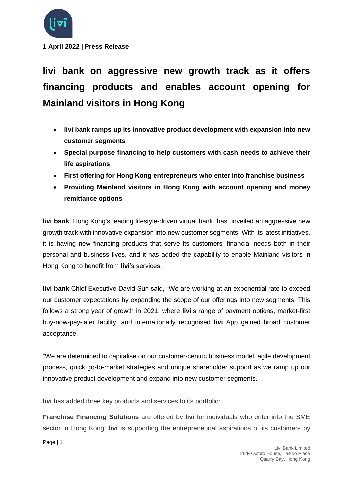

**1 April 2022 | Press Release**

**livi bank on aggressive new growth track as it offers financing products and enables account opening for Mainland visitors in Hong Kong**

- **livi bank ramps up its innovative product development with expansion into new customer segments**
- **Special purpose financing to help customers with cash needs to achieve their life aspirations**
- **First offering for Hong Kong entrepreneurs who enter into franchise business**
- **Providing Mainland visitors in Hong Kong with account opening and money remittance options**

**livi bank**, Hong Kong's leading lifestyle-driven virtual bank, has unveiled an aggressive new growth track with innovative expansion into new customer segments. With its latest initiatives, it is having new financing products that serve its customers' financial needs both in their personal and business lives, and it has added the capability to enable Mainland visitors in Hong Kong to benefit from **livi**'s services.

**livi bank** Chief Executive David Sun said, "We are working at an exponential rate to exceed our customer expectations by expanding the scope of our offerings into new segments. This follows a strong year of growth in 2021, where **livi**'s range of payment options, market-first buy-now-pay-later facility, and internationally recognised **livi** App gained broad customer acceptance.

"We are determined to capitalise on our customer-centric business model, agile development process, quick go-to-market strategies and unique shareholder support as we ramp up our innovative product development and expand into new customer segments."

**livi** has added three key products and services to its portfolio:

**Franchise Financing Solutions** are offered by **livi** for individuals who enter into the SME sector in Hong Kong. **livi** is supporting the entrepreneurial aspirations of its customers by

Page | 1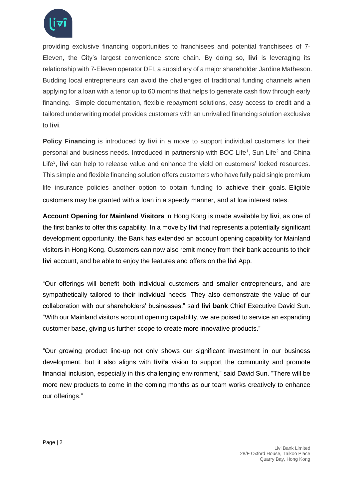

providing exclusive financing opportunities to franchisees and potential franchisees of 7- Eleven, the City's largest convenience store chain. By doing so, **livi** is leveraging its relationship with 7-Eleven operator DFI, a subsidiary of a major shareholder Jardine Matheson. Budding local entrepreneurs can avoid the challenges of traditional funding channels when applying for a loan with a tenor up to 60 months that helps to generate cash flow through early financing. Simple documentation, flexible repayment solutions, easy access to credit and a tailored underwriting model provides customers with an unrivalled financing solution exclusive to **livi**.

**Policy Financing** is introduced by **livi** in a move to support individual customers for their personal and business needs. Introduced in partnership with BOC Life<sup>1</sup>, Sun Life<sup>2</sup> and China Life<sup>3</sup> , **livi** can help to release value and enhance the yield on customers' locked resources. This simple and flexible financing solution offers customers who have fully paid single premium life insurance policies another option to obtain funding to achieve their goals. Eligible customers may be granted with a loan in a speedy manner, and at low interest rates.

**Account Opening for Mainland Visitors** in Hong Kong is made available by **livi**, as one of the first banks to offer this capability. In a move by **livi** that represents a potentially significant development opportunity, the Bank has extended an account opening capability for Mainland visitors in Hong Kong. Customers can now also remit money from their bank accounts to their **livi** account, and be able to enjoy the features and offers on the **livi** App.

"Our offerings will benefit both individual customers and smaller entrepreneurs, and are sympathetically tailored to their individual needs. They also demonstrate the value of our collaboration with our shareholders' businesses," said **livi bank** Chief Executive David Sun. "With our Mainland visitors account opening capability, we are poised to service an expanding customer base, giving us further scope to create more innovative products."

"Our growing product line-up not only shows our significant investment in our business development, but it also aligns with **livi's** vision to support the community and promote financial inclusion, especially in this challenging environment," said David Sun. "There will be more new products to come in the coming months as our team works creatively to enhance our offerings."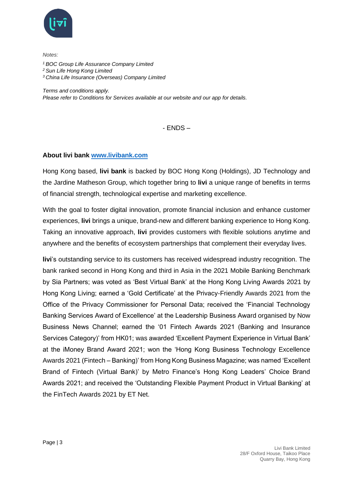

*Notes:*

- *<sup>1</sup>BOC Group Life Assurance Company Limited*
- *<sup>2</sup> Sun Life Hong Kong Limited*
- *<sup>3</sup> China Life Insurance (Overseas) Company Limited*

*Terms and conditions apply.*

*Please refer to Conditions for Services available at our website and our app for details.*

 $-$  FNDS  $-$ 

## **About livi bank [www.livibank.com](https://www.livibank.com/en/)**

Hong Kong based, **livi bank** is backed by BOC Hong Kong (Holdings), JD Technology and the Jardine Matheson Group, which together bring to **livi** a unique range of benefits in terms of financial strength, technological expertise and marketing excellence.

With the goal to foster digital innovation, promote financial inclusion and enhance customer experiences, **livi** brings a unique, brand-new and different banking experience to Hong Kong. Taking an innovative approach, **livi** provides customers with flexible solutions anytime and anywhere and the benefits of ecosystem partnerships that complement their everyday lives.

**livi**'s outstanding service to its customers has received widespread industry recognition. The bank ranked second in Hong Kong and third in Asia in the 2021 Mobile Banking Benchmark by Sia Partners; was voted as 'Best Virtual Bank' at the Hong Kong Living Awards 2021 by Hong Kong Living; earned a 'Gold Certificate' at the Privacy-Friendly Awards 2021 from the Office of the Privacy Commissioner for Personal Data; received the 'Financial Technology Banking Services Award of Excellence' at the Leadership Business Award organised by Now Business News Channel; earned the '01 Fintech Awards 2021 (Banking and Insurance Services Category)' from HK01; was awarded 'Excellent Payment Experience in Virtual Bank' at the iMoney Brand Award 2021; won the 'Hong Kong Business Technology Excellence Awards 2021 (Fintech – Banking)' from Hong Kong Business Magazine; was named 'Excellent Brand of Fintech (Virtual Bank)' by Metro Finance's Hong Kong Leaders' Choice Brand Awards 2021; and received the 'Outstanding Flexible Payment Product in Virtual Banking' at the FinTech Awards 2021 by ET Net.